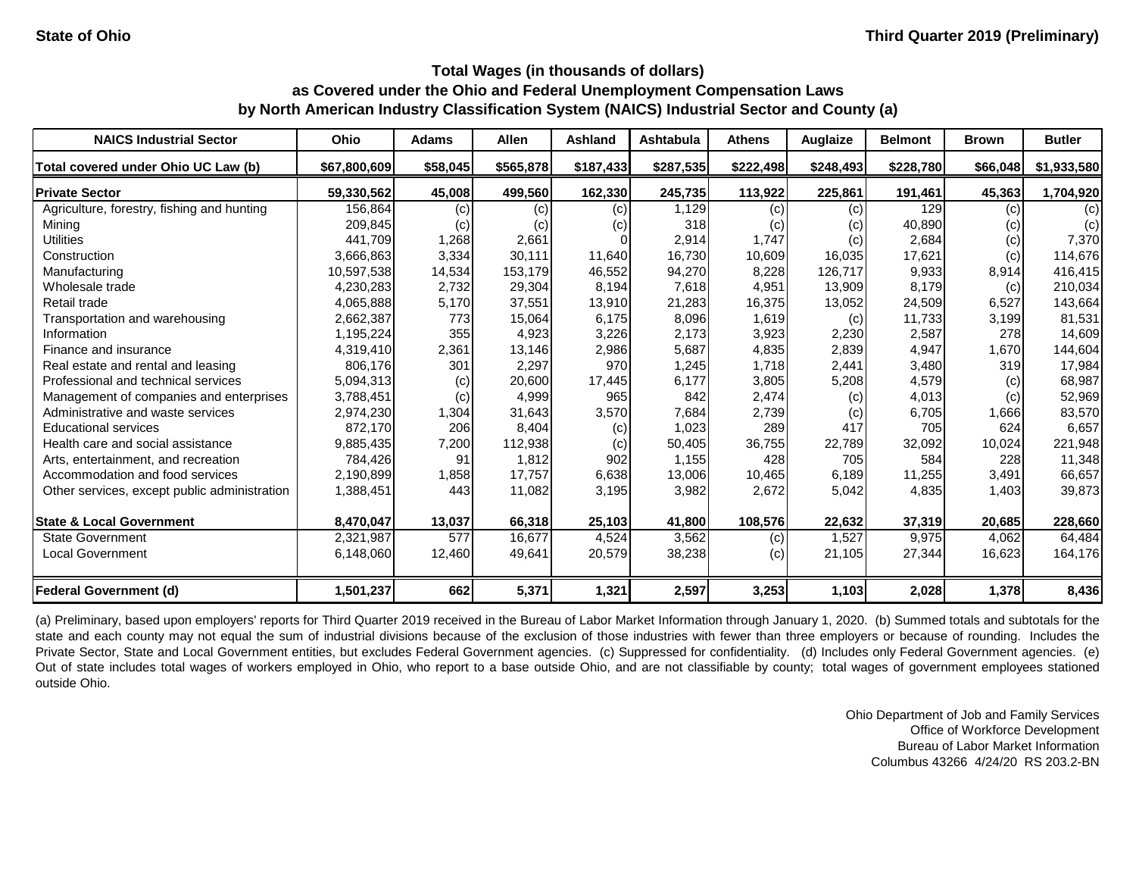| <b>NAICS Industrial Sector</b>               | <b>Ohio</b>  | <b>Adams</b> | <b>Allen</b> | <b>Ashland</b> | <b>Ashtabula</b> | <b>Athens</b> | Auglaize  | <b>Belmont</b> | <b>Brown</b> | <b>Butler</b> |
|----------------------------------------------|--------------|--------------|--------------|----------------|------------------|---------------|-----------|----------------|--------------|---------------|
| Total covered under Ohio UC Law (b)          | \$67,800,609 | \$58,045     | \$565,878    | \$187,433      | \$287,535        | \$222,498     | \$248,493 | \$228,780      | \$66,048     | \$1,933,580   |
| <b>Private Sector</b>                        | 59,330,562   | 45,008       | 499,560      | 162,330        | 245,735          | 113,922       | 225,861   | 191,461        | 45,363       | 1,704,920     |
| Agriculture, forestry, fishing and hunting   | 156,864      | (c)          | (c)          | (c)            | 1,129            | (c)           | (c)       | 129            | (c)          | (c)           |
| Mining                                       | 209,845      | (c)          | (c)          | (c)            | 318              | (c)           | (c)       | 40,890         | (c)          | (c)           |
| <b>Utilities</b>                             | 441,709      | 1,268        | 2,661        |                | 2,914            | 1,747         | (c)       | 2,684          | (c)          | 7,370         |
| Construction                                 | 3,666,863    | 3,334        | 30,111       | 11,640         | 16,730           | 10,609        | 16,035    | 17,621         | (c)          | 114,676       |
| Manufacturing                                | 10,597,538   | 14,534       | 153,179      | 46,552         | 94,270           | 8,228         | 126,717   | 9,933          | 8,914        | 416,415       |
| Wholesale trade                              | 4,230,283    | 2,732        | 29,304       | 8,194          | 7,618            | 4,951         | 13,909    | 8,179          | (c)          | 210,034       |
| Retail trade                                 | 4,065,888    | 5,170        | 37,551       | 13,910         | 21,283           | 16,375        | 13,052    | 24,509         | 6,527        | 143,664       |
| Transportation and warehousing               | 2,662,387    | 773          | 15,064       | 6,175          | 8,096            | 1,619         | (c)       | 11,733         | 3,199        | 81,531        |
| Information                                  | 1,195,224    | 355          | 4,923        | 3,226          | 2,173            | 3,923         | 2,230     | 2,587          | 278          | 14,609        |
| Finance and insurance                        | 4,319,410    | 2,361        | 13,146       | 2,986          | 5,687            | 4,835         | 2,839     | 4,947          | 1,670        | 144,604       |
| Real estate and rental and leasing           | 806,176      | 301          | 2,297        | 970            | 1,245            | 1,718         | 2,441     | 3,480          | 319          | 17,984        |
| Professional and technical services          | 5,094,313    | (c)          | 20,600       | 17,445         | 6,177            | 3,805         | 5,208     | 4,579          | (c)          | 68,987        |
| Management of companies and enterprises      | 3,788,451    | (c)          | 4,999        | 965            | 842              | 2,474         | (c)       | 4,013          | (c)          | 52,969        |
| Administrative and waste services            | 2,974,230    | 1,304        | 31,643       | 3,570          | 7,684            | 2,739         | (c)       | 6,705          | 1,666        | 83,570        |
| <b>Educational services</b>                  | 872,170      | 206          | 8,404        | (c)            | 1,023            | 289           | 417       | 705            | 624          | 6,657         |
| Health care and social assistance            | 9,885,435    | 7,200        | 112,938      | (c)            | 50,405           | 36,755        | 22,789    | 32,092         | 10,024       | 221,948       |
| Arts, entertainment, and recreation          | 784,426      | 91           | 1,812        | 902            | 1,155            | 428           | 705       | 584            | 228          | 11,348        |
| Accommodation and food services              | 2,190,899    | 1,858        | 17,757       | 6,638          | 13,006           | 10,465        | 6,189     | 11,255         | 3,491        | 66,657        |
| Other services, except public administration | 1,388,451    | 443          | 11,082       | 3,195          | 3,982            | 2,672         | 5,042     | 4,835          | 1,403        | 39,873        |
| <b>State &amp; Local Government</b>          | 8,470,047    | 13,037       | 66,318       | 25,103         | 41,800           | 108,576       | 22,632    | 37,319         | 20,685       | 228,660       |
| State Government                             | 2,321,987    | 577          | 16,677       | 4,524          | 3,562            | (c)           | 1,527     | 9,975          | 4,062        | 64,484        |
| <b>Local Government</b>                      | 6,148,060    | 12,460       | 49,641       | 20,579         | 38,238           | (c)           | 21,105    | 27,344         | 16,623       | 164,176       |
| Federal Government (d)                       | 1,501,237    | 662          | 5,371        | 1,321          | 2,597            | 3,253         | 1,103     | 2,028          | 1,378        | 8,436         |

(a) Preliminary, based upon employers' reports for Third Quarter 2019 received in the Bureau of Labor Market Information through January 1, 2020. (b) Summed totals and subtotals for the state and each county may not equal the sum of industrial divisions because of the exclusion of those industries with fewer than three employers or because of rounding. Includes the Private Sector, State and Local Government entities, but excludes Federal Government agencies. (c) Suppressed for confidentiality. (d) Includes only Federal Government agencies. (e) Out of state includes total wages of workers employed in Ohio, who report to a base outside Ohio, and are not classifiable by county; total wages of government employees stationed outside Ohio.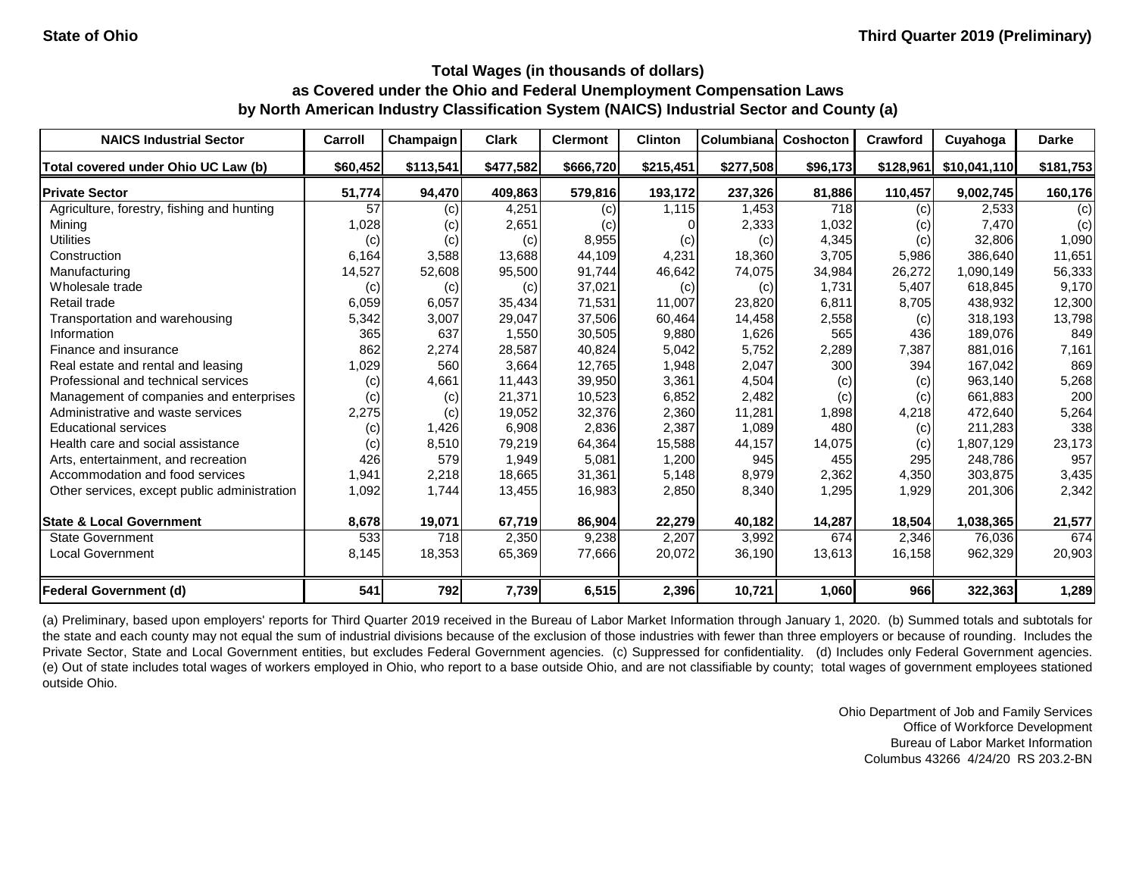| <b>NAICS Industrial Sector</b>               | Carroll  | Champaign | <b>Clark</b> | <b>Clermont</b> | <b>Clinton</b> | <b>Columbiana</b> | <b>Coshocton</b> | Crawford  | Cuyahoga     | <b>Darke</b> |
|----------------------------------------------|----------|-----------|--------------|-----------------|----------------|-------------------|------------------|-----------|--------------|--------------|
| Total covered under Ohio UC Law (b)          | \$60,452 | \$113,541 | \$477,582    | \$666,720       | \$215,451      | \$277,508         | \$96,173         | \$128,961 | \$10,041,110 | \$181,753    |
| <b>Private Sector</b>                        | 51,774   | 94,470    | 409,863      | 579,816         | 193,172        | 237,326           | 81,886           | 110,457   | 9,002,745    | 160,176      |
| Agriculture, forestry, fishing and hunting   | 57       | (c)       | 4,251        | (c)             | 1,115          | 1,453             | 718              | (c)       | 2,533        | (c)          |
| Mining                                       | 1,028    | (c)       | 2,651        | (c)             |                | 2,333             | 1,032            | (c)       | 7,470        | (c)          |
| <b>Utilities</b>                             | (c)      | (c)       | (c)          | 8,955           | (c)            | (c)               | 4,345            | (c)       | 32,806       | 1,090        |
| Construction                                 | 6,164    | 3,588     | 13,688       | 44,109          | 4,231          | 18,360            | 3,705            | 5,986     | 386,640      | 11,651       |
| Manufacturing                                | 14,527   | 52,608    | 95,500       | 91,744          | 46,642         | 74,075            | 34,984           | 26,272    | 1,090,149    | 56,333       |
| Wholesale trade                              | (c)      | (c)       | (c)          | 37,021          | (c)            | (c)               | 1,731            | 5,407     | 618,845      | 9,170        |
| Retail trade                                 | 6,059    | 6,057     | 35,434       | 71,531          | 11,007         | 23,820            | 6,811            | 8,705     | 438,932      | 12,300       |
| Transportation and warehousing               | 5,342    | 3,007     | 29,047       | 37,506          | 60,464         | 14,458            | 2,558            | (c)       | 318,193      | 13,798       |
| Information                                  | 365      | 637       | 1,550        | 30,505          | 9,880          | 1,626             | 565              | 436       | 189,076      | 849          |
| Finance and insurance                        | 862      | 2,274     | 28,587       | 40,824          | 5,042          | 5,752             | 2,289            | 7,387     | 881,016      | 7,161        |
| Real estate and rental and leasing           | 1,029    | 560       | 3,664        | 12,765          | 1,948          | 2,047             | 300              | 394       | 167,042      | 869          |
| Professional and technical services          | (c)      | 4,661     | 11,443       | 39,950          | 3,361          | 4,504             | (c)              | (c)       | 963,140      | 5,268        |
| Management of companies and enterprises      | (c)      | (c)       | 21,371       | 10,523          | 6,852          | 2,482             | (c)              | (c)       | 661,883      | 200          |
| Administrative and waste services            | 2,275    | (c)       | 19,052       | 32,376          | 2,360          | 11,281            | 1,898            | 4,218     | 472,640      | 5,264        |
| <b>Educational services</b>                  | (c)      | 1,426     | 6,908        | 2,836           | 2,387          | 1,089             | 480              | (c)       | 211,283      | 338          |
| Health care and social assistance            | (c)      | 8,510     | 79,219       | 64,364          | 15,588         | 44,157            | 14,075           | (c)       | 1,807,129    | 23,173       |
| Arts, entertainment, and recreation          | 426      | 579       | 1,949        | 5,081           | 1,200          | 945               | 455              | 295       | 248,786      | 957          |
| Accommodation and food services              | 1,941    | 2,218     | 18,665       | 31,361          | 5,148          | 8,979             | 2,362            | 4,350     | 303,875      | 3,435        |
| Other services, except public administration | 1,092    | 1,744     | 13,455       | 16,983          | 2,850          | 8,340             | 1,295            | 1,929     | 201,306      | 2,342        |
| <b>State &amp; Local Government</b>          | 8,678    | 19,071    | 67,719       | 86,904          | 22,279         | 40,182            | 14,287           | 18,504    | 1,038,365    | 21,577       |
| <b>State Government</b>                      | 533      | 718       | 2,350        | 9,238           | 2,207          | 3,992             | 674              | 2,346     | 76,036       | 674          |
| <b>Local Government</b>                      | 8,145    | 18,353    | 65,369       | 77,666          | 20,072         | 36,190            | 13,613           | 16,158    | 962,329      | 20,903       |
| <b>Federal Government (d)</b>                | 541      | 792       | 7,739        | 6,515           | 2,396          | 10,721            | 1,060            | 966       | 322,363      | 1,289        |

(a) Preliminary, based upon employers' reports for Third Quarter 2019 received in the Bureau of Labor Market Information through January 1, 2020. (b) Summed totals and subtotals for the state and each county may not equal the sum of industrial divisions because of the exclusion of those industries with fewer than three employers or because of rounding. Includes the Private Sector, State and Local Government entities, but excludes Federal Government agencies. (c) Suppressed for confidentiality. (d) Includes only Federal Government agencies. (e) Out of state includes total wages of workers employed in Ohio, who report to a base outside Ohio, and are not classifiable by county; total wages of government employees stationed outside Ohio.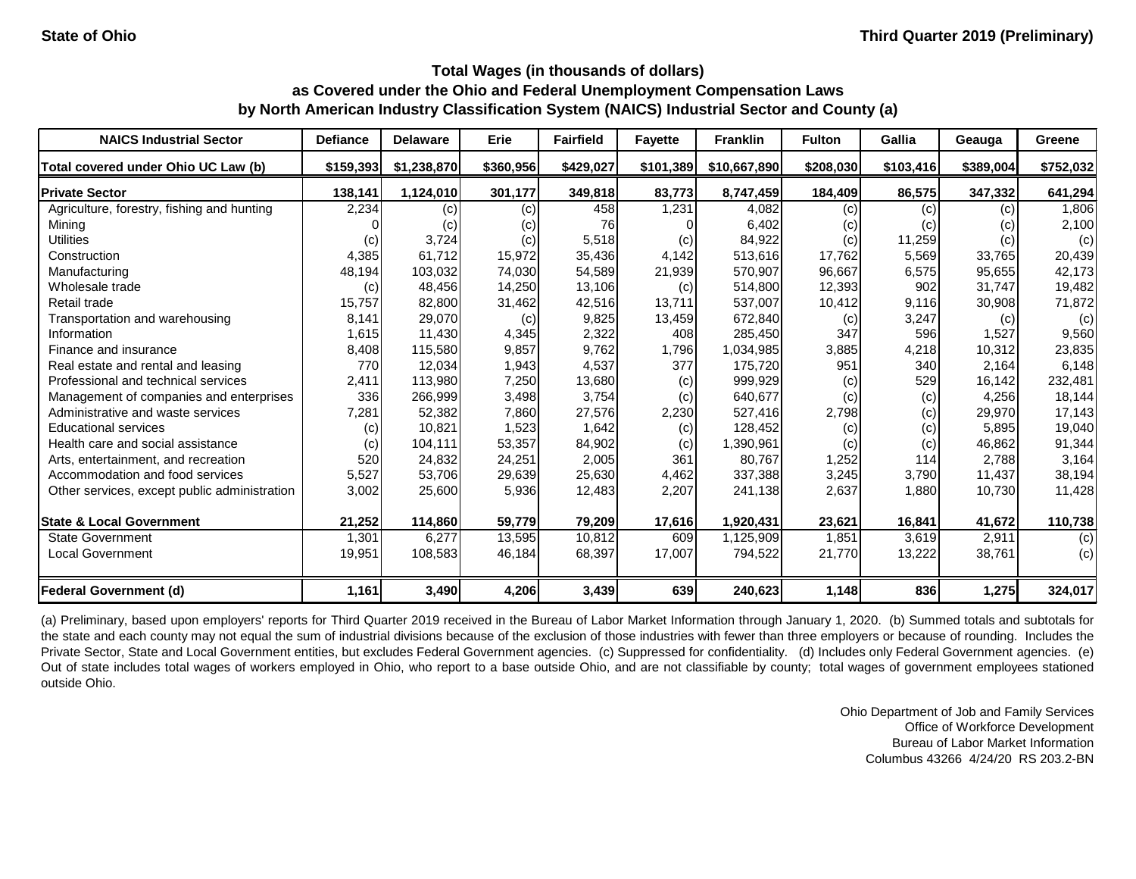| <b>NAICS Industrial Sector</b>               | <b>Defiance</b> | <b>Delaware</b> | Erie      | <b>Fairfield</b> | <b>Fayette</b> | <b>Franklin</b> | <b>Fulton</b> | Gallia    | Geauga    | Greene    |
|----------------------------------------------|-----------------|-----------------|-----------|------------------|----------------|-----------------|---------------|-----------|-----------|-----------|
| Total covered under Ohio UC Law (b)          | \$159,393       | \$1,238,870     | \$360,956 | \$429,027        | \$101,389      | \$10,667,890    | \$208,030     | \$103,416 | \$389,004 | \$752,032 |
| <b>Private Sector</b>                        | 138,141         | 1,124,010       | 301,177   | 349,818          | 83,773         | 8,747,459       | 184,409       | 86,575    | 347,332   | 641,294   |
| Agriculture, forestry, fishing and hunting   | 2,234           | (c)             | (c)       | 458              | 1,231          | 4,082           | (c)           | (c)       | (c)       | 1,806     |
| Mining                                       |                 | (c)             | (c)       | 76               |                | 6,402           | (c)           | (c)       | (C)       | 2,100     |
| <b>Utilities</b>                             | (c)             | 3,724           | (c)       | 5,518            | (c)            | 84,922          | (c)           | 11,259    | (c)       | (c)       |
| Construction                                 | 4,385           | 61,712          | 15,972    | 35,436           | 4,142          | 513,616         | 17,762        | 5,569     | 33,765    | 20,439    |
| Manufacturing                                | 48,194          | 103,032         | 74,030    | 54,589           | 21,939         | 570,907         | 96,667        | 6,575     | 95,655    | 42,173    |
| Wholesale trade                              | (c)             | 48,456          | 14,250    | 13,106           | (c)            | 514,800         | 12,393        | 902       | 31,747    | 19,482    |
| Retail trade                                 | 15,757          | 82,800          | 31,462    | 42,516           | 13,711         | 537,007         | 10,412        | 9,116     | 30,908    | 71,872    |
| Transportation and warehousing               | 8,141           | 29,070          | (c)       | 9,825            | 13,459         | 672,840         | (c)           | 3,247     | (c)       | (c)       |
| Information                                  | 1,615           | 11,430          | 4,345     | 2,322            | 408            | 285,450         | 347           | 596       | 1,527     | 9,560     |
| Finance and insurance                        | 8,408           | 115,580         | 9,857     | 9,762            | 1,796          | 1,034,985       | 3,885         | 4,218     | 10,312    | 23,835    |
| Real estate and rental and leasing           | 770             | 12,034          | 1,943     | 4,537            | 377            | 175,720         | 951           | 340       | 2,164     | 6,148     |
| Professional and technical services          | 2,411           | 113,980         | 7,250     | 13,680           | (c)            | 999,929         | (c)           | 529       | 16,142    | 232,481   |
| Management of companies and enterprises      | 336             | 266,999         | 3,498     | 3,754            | (c)            | 640,677         | (c)           | (c)       | 4,256     | 18,144    |
| Administrative and waste services            | 7,281           | 52,382          | 7,860     | 27,576           | 2,230          | 527,416         | 2,798         | (c)       | 29,970    | 17,143    |
| <b>Educational services</b>                  | (c)             | 10,821          | 1,523     | 1,642            | (c)            | 128,452         | (c)           | (c)       | 5,895     | 19,040    |
| Health care and social assistance            | (c)             | 104,111         | 53,357    | 84,902           | (c)            | 1,390,961       | (c)           | (c)       | 46,862    | 91,344    |
| Arts, entertainment, and recreation          | 520             | 24,832          | 24,251    | 2,005            | 361            | 80,767          | 1,252         | 114       | 2,788     | 3,164     |
| Accommodation and food services              | 5,527           | 53,706          | 29,639    | 25,630           | 4,462          | 337,388         | 3,245         | 3,790     | 11,437    | 38,194    |
| Other services, except public administration | 3,002           | 25,600          | 5,936     | 12,483           | 2,207          | 241,138         | 2,637         | 1,880     | 10,730    | 11,428    |
| <b>State &amp; Local Government</b>          | 21,252          | 114,860         | 59,779    | 79,209           | 17,616         | 1,920,431       | 23,621        | 16,841    | 41,672    | 110,738   |
| <b>State Government</b>                      | 1,301           | 6,277           | 13,595    | 10,812           | 609            | 1,125,909       | 1,851         | 3,619     | 2,911     | (c)       |
| <b>Local Government</b>                      | 19,951          | 108,583         | 46,184    | 68,397           | 17,007         | 794,522         | 21,770        | 13,222    | 38,761    | (c)       |
| <b>Federal Government (d)</b>                | 1,161           | 3,490           | 4,206     | 3,439            | 639            | 240,623         | 1,148         | 836       | 1,275     | 324,017   |

(a) Preliminary, based upon employers' reports for Third Quarter 2019 received in the Bureau of Labor Market Information through January 1, 2020. (b) Summed totals and subtotals for the state and each county may not equal the sum of industrial divisions because of the exclusion of those industries with fewer than three employers or because of rounding. Includes the Private Sector, State and Local Government entities, but excludes Federal Government agencies. (c) Suppressed for confidentiality. (d) Includes only Federal Government agencies. (e) Out of state includes total wages of workers employed in Ohio, who report to a base outside Ohio, and are not classifiable by county; total wages of government employees stationed outside Ohio.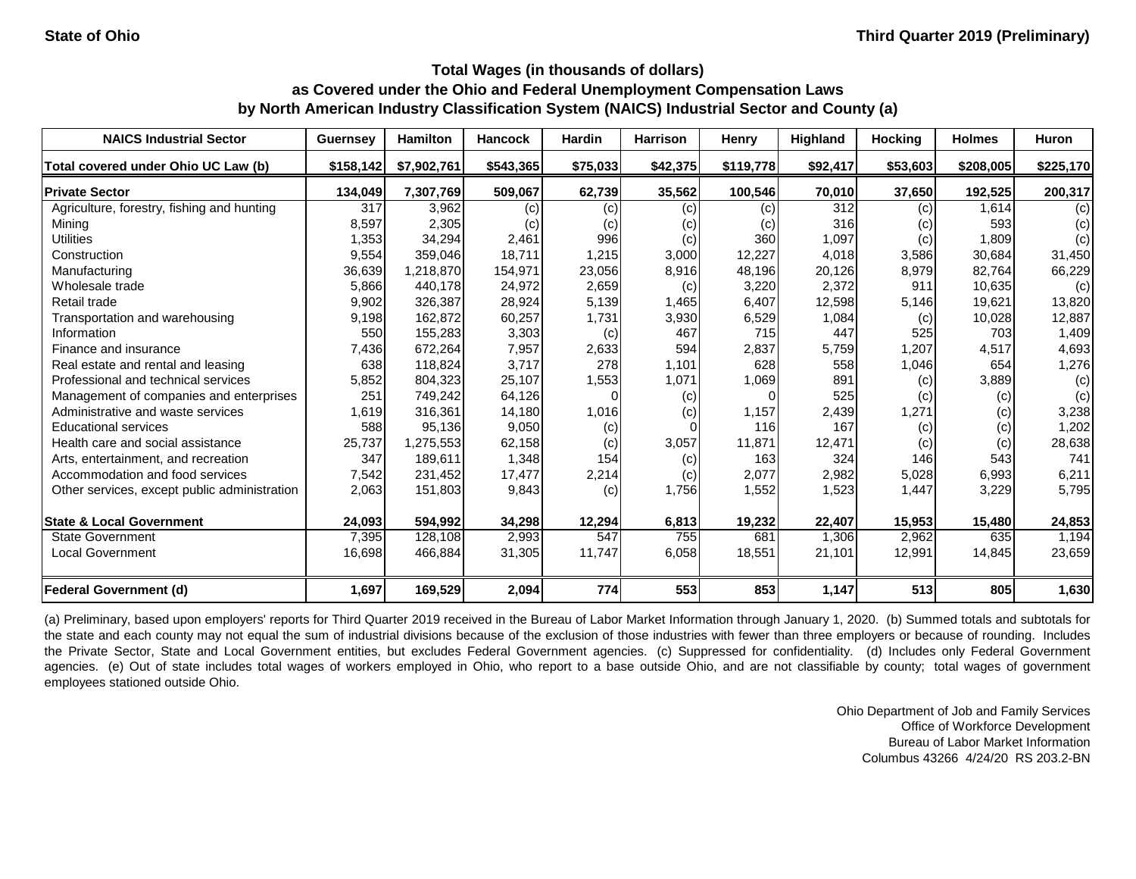| <b>NAICS Industrial Sector</b>               | <b>Guernsey</b> | <b>Hamilton</b> | <b>Hancock</b> | <b>Hardin</b> | <b>Harrison</b> | <b>Henry</b> | <b>Highland</b> | <b>Hocking</b> | <b>Holmes</b> | Huron     |
|----------------------------------------------|-----------------|-----------------|----------------|---------------|-----------------|--------------|-----------------|----------------|---------------|-----------|
| Total covered under Ohio UC Law (b)          | \$158,142       | \$7,902,761     | \$543,365      | \$75,033      | \$42,375        | \$119,778    | \$92,417        | \$53,603       | \$208,005     | \$225,170 |
| <b>Private Sector</b>                        | 134,049         | 7,307,769       | 509,067        | 62,739        | 35,562          | 100,546      | 70,010          | 37,650         | 192,525       | 200,317   |
| Agriculture, forestry, fishing and hunting   | 317             | 3,962           | (c)            | (c)           | (c)             | (c)          | 312             | (c)            | 1,614         | (c)       |
| Mining                                       | 8,597           | 2,305           | (c)            | (c)           | (c)             | (c)          | 316             | (c)            | 593           | (c)       |
| <b>Utilities</b>                             | 1,353           | 34,294          | 2,461          | 996           | (c)             | 360          | 1,097           | (c)            | 1,809         | (c)       |
| Construction                                 | 9,554           | 359,046         | 18,711         | 1,215         | 3,000           | 12,227       | 4,018           | 3,586          | 30,684        | 31,450    |
| Manufacturing                                | 36,639          | 1,218,870       | 154,971        | 23,056        | 8,916           | 48,196       | 20,126          | 8,979          | 82,764        | 66,229    |
| Wholesale trade                              | 5,866           | 440,178         | 24,972         | 2,659         | (c)             | 3,220        | 2,372           | 911            | 10,635        | (c)       |
| Retail trade                                 | 9,902           | 326,387         | 28,924         | 5,139         | 1,465           | 6,407        | 12,598          | 5,146          | 19,621        | 13,820    |
| Transportation and warehousing               | 9,198           | 162,872         | 60,257         | 1,731         | 3,930           | 6,529        | 1,084           | (c)            | 10,028        | 12,887    |
| Information                                  | 550             | 155,283         | 3,303          | (c)           | 467             | 715          | 447             | 525            | 703           | 1,409     |
| Finance and insurance                        | 7,436           | 672,264         | 7,957          | 2,633         | 594             | 2,837        | 5,759           | 1,207          | 4,517         | 4,693     |
| Real estate and rental and leasing           | 638             | 118,824         | 3,717          | 278           | 1,101           | 628          | 558             | 1,046          | 654           | 1,276     |
| Professional and technical services          | 5,852           | 804,323         | 25,107         | 1,553         | 1,071           | 1,069        | 891             | (c)            | 3,889         | (c)       |
| Management of companies and enterprises      | 251             | 749,242         | 64,126         |               | (c)             |              | 525             | (c)            | (c)           | (c)       |
| Administrative and waste services            | 1,619           | 316,361         | 14,180         | 1,016         | (c)             | 1,157        | 2,439           | 1,271          | (c)           | 3,238     |
| <b>Educational services</b>                  | 588             | 95,136          | 9,050          | (c)           |                 | 116          | 167             | (c)            | (c)           | 1,202     |
| Health care and social assistance            | 25,737          | 1,275,553       | 62,158         | (c)           | 3,057           | 11,871       | 12,471          | (c)            | (c)           | 28,638    |
| Arts, entertainment, and recreation          | 347             | 189,611         | 1,348          | 154           | (c)             | 163          | 324             | 146            | 543           | 741       |
| Accommodation and food services              | 7,542           | 231,452         | 17,477         | 2,214         | (c)             | 2,077        | 2,982           | 5,028          | 6,993         | 6,211     |
| Other services, except public administration | 2,063           | 151,803         | 9,843          | (c)           | 1,756           | 1,552        | 1,523           | 1,447          | 3,229         | 5,795     |
| <b>State &amp; Local Government</b>          | 24,093          | 594,992         | 34,298         | 12,294        | 6,813           | 19,232       | 22,407          | 15,953         | 15,480        | 24,853    |
| <b>State Government</b>                      | 7,395           | 128,108         | 2,993          | 547           | 755             | 681          | 1,306           | 2,962          | 635           | 1,194     |
| <b>Local Government</b>                      | 16,698          | 466,884         | 31,305         | 11,747        | 6,058           | 18,551       | 21,101          | 12,991         | 14,845        | 23,659    |
| Federal Government (d)                       | 1,697           | 169,529         | 2,094          | 774           | 553             | 853          | 1,147           | 513            | 805           | 1,630     |

(a) Preliminary, based upon employers' reports for Third Quarter 2019 received in the Bureau of Labor Market Information through January 1, 2020. (b) Summed totals and subtotals for the state and each county may not equal the sum of industrial divisions because of the exclusion of those industries with fewer than three employers or because of rounding. Includes the Private Sector, State and Local Government entities, but excludes Federal Government agencies. (c) Suppressed for confidentiality. (d) Includes only Federal Government agencies. (e) Out of state includes total wages of workers employed in Ohio, who report to a base outside Ohio, and are not classifiable by county; total wages of government employees stationed outside Ohio.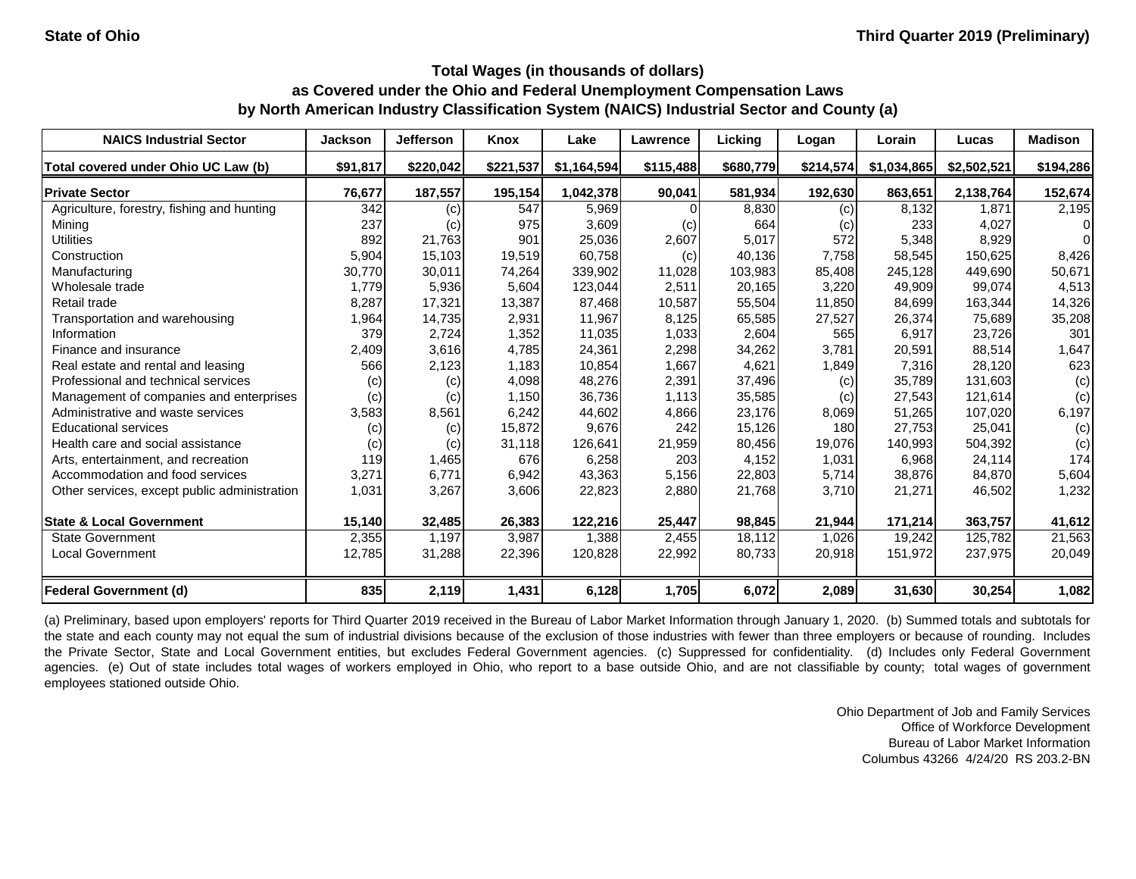| <b>NAICS Industrial Sector</b>               | <b>Jackson</b> | Jefferson | Knox      | Lake        | Lawrence  | Licking   | Logan     | Lorain      | Lucas       | <b>Madison</b> |
|----------------------------------------------|----------------|-----------|-----------|-------------|-----------|-----------|-----------|-------------|-------------|----------------|
| Total covered under Ohio UC Law (b)          | \$91,817       | \$220,042 | \$221,537 | \$1,164,594 | \$115,488 | \$680,779 | \$214,574 | \$1,034,865 | \$2,502,521 | \$194,286      |
| <b>Private Sector</b>                        | 76,677         | 187,557   | 195,154   | 1,042,378   | 90,041    | 581,934   | 192,630   | 863,651     | 2,138,764   | 152,674        |
| Agriculture, forestry, fishing and hunting   | 342            | (c)       | 547       | 5,969       |           | 8,830     | (c)       | 8,132       | 1.871       | 2,195          |
| Mining                                       | 237            | (c)       | 975       | 3,609       | (c)       | 664       | (c)       | 233         | 4,027       | 01             |
| <b>Utilities</b>                             | 892            | 21,763    | 901       | 25,036      | 2,607     | 5,017     | 572       | 5,348       | 8,929       | $\Omega$       |
| Construction                                 | 5,904          | 15,103    | 19,519    | 60,758      | (c)       | 40,136    | 7,758     | 58,545      | 150,625     | 8,426          |
| Manufacturing                                | 30,770         | 30,011    | 74,264    | 339,902     | 11,028    | 103,983   | 85,408    | 245,128     | 449,690     | 50,671         |
| Wholesale trade                              | 1,779          | 5,936     | 5,604     | 123,044     | 2,511     | 20,165    | 3,220     | 49,909      | 99,074      | 4,513          |
| Retail trade                                 | 8,287          | 17,321    | 13,387    | 87,468      | 10,587    | 55,504    | 11,850    | 84,699      | 163,344     | 14,326         |
| Transportation and warehousing               | 1,964          | 14,735    | 2,931     | 11,967      | 8,125     | 65,585    | 27,527    | 26,374      | 75,689      | 35,208         |
| Information                                  | 379            | 2,724     | 1,352     | 11,035      | 1,033     | 2,604     | 565       | 6,917       | 23,726      | 301            |
| Finance and insurance                        | 2,409          | 3,616     | 4,785     | 24,361      | 2,298     | 34,262    | 3,781     | 20,591      | 88,514      | 1,647          |
| Real estate and rental and leasing           | 566            | 2,123     | 1,183     | 10,854      | 1,667     | 4,621     | 1,849     | 7,316       | 28,120      | 623            |
| Professional and technical services          | (c)            | (c)       | 4,098     | 48,276      | 2,391     | 37,496    | (c)       | 35,789      | 131,603     | (c)            |
| Management of companies and enterprises      | (c)            | (c)       | 1,150     | 36,736      | 1,113     | 35,585    | (c)       | 27,543      | 121,614     | (c)            |
| Administrative and waste services            | 3,583          | 8,561     | 6,242     | 44,602      | 4,866     | 23,176    | 8,069     | 51,265      | 107,020     | 6,197          |
| <b>Educational services</b>                  | (c)            | (c)       | 15,872    | 9,676       | 242       | 15,126    | 180       | 27,753      | 25,041      | (c)            |
| Health care and social assistance            | (c)            | (c)       | 31,118    | 126,641     | 21,959    | 80,456    | 19,076    | 140,993     | 504,392     | (c)            |
| Arts, entertainment, and recreation          | 119            | 1,465     | 676       | 6,258       | 203       | 4,152     | 1,031     | 6,968       | 24,114      | 174            |
| Accommodation and food services              | 3,271          | 6,771     | 6,942     | 43,363      | 5,156     | 22,803    | 5,714     | 38,876      | 84,870      | 5,604          |
| Other services, except public administration | 1,031          | 3,267     | 3,606     | 22,823      | 2,880     | 21,768    | 3,710     | 21,271      | 46,502      | 1,232          |
| <b>State &amp; Local Government</b>          | 15,140         | 32,485    | 26,383    | 122,216     | 25,447    | 98,845    | 21,944    | 171,214     | 363,757     | 41,612         |
| <b>State Government</b>                      | 2,355          | 1,197     | 3,987     | 1,388       | 2,455     | 18,112    | 1,026     | 19,242      | 125,782     | 21,563         |
| <b>Local Government</b>                      | 12,785         | 31,288    | 22,396    | 120,828     | 22,992    | 80,733    | 20,918    | 151,972     | 237,975     | 20,049         |
| <b>Federal Government (d)</b>                | 835            | 2,119     | 1,431     | 6,128       | 1,705     | 6,072     | 2,089     | 31,630      | 30,254      | 1,082          |

(a) Preliminary, based upon employers' reports for Third Quarter 2019 received in the Bureau of Labor Market Information through January 1, 2020. (b) Summed totals and subtotals for the state and each county may not equal the sum of industrial divisions because of the exclusion of those industries with fewer than three employers or because of rounding. Includes the Private Sector, State and Local Government entities, but excludes Federal Government agencies. (c) Suppressed for confidentiality. (d) Includes only Federal Government agencies. (e) Out of state includes total wages of workers employed in Ohio, who report to a base outside Ohio, and are not classifiable by county; total wages of government employees stationed outside Ohio.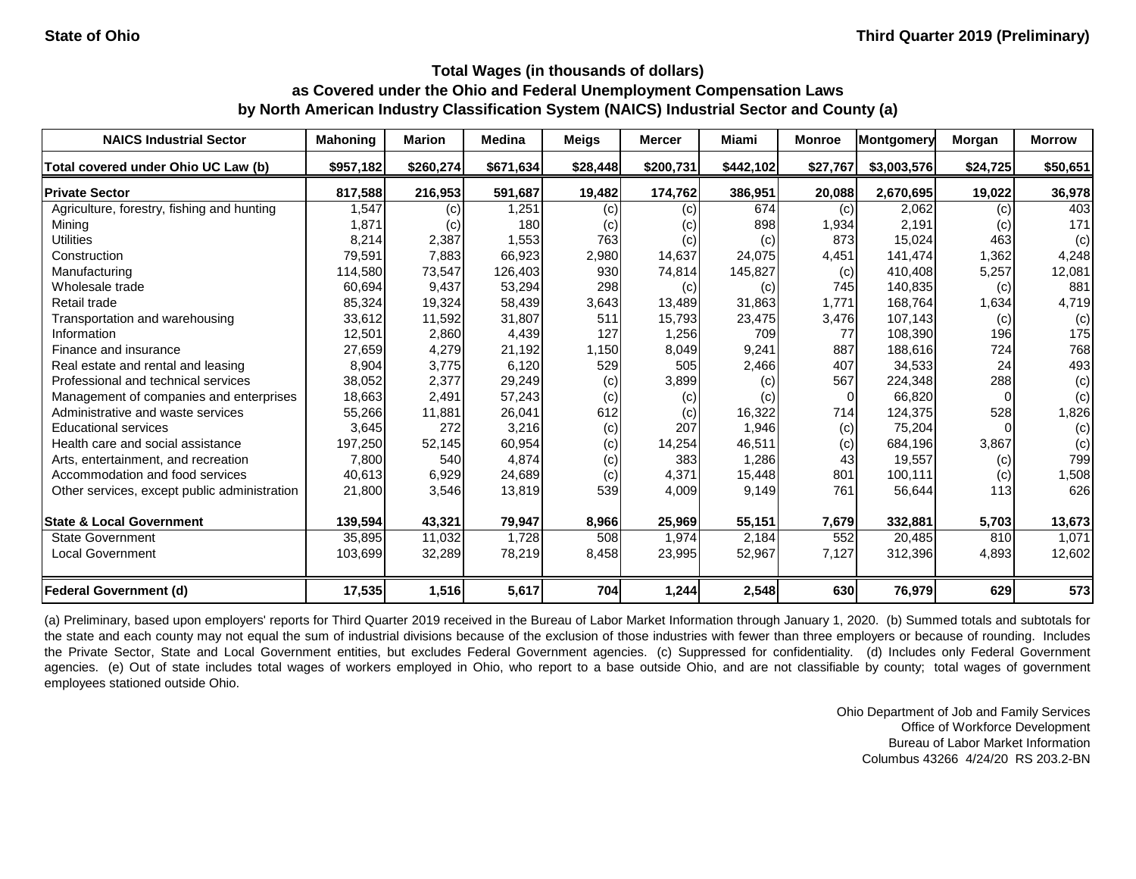| <b>NAICS Industrial Sector</b>               | Mahoning  | <b>Marion</b> | <b>Medina</b> | <b>Meigs</b> | <b>Mercer</b> | Miami     | <b>Monroe</b> | Montgomery  | Morgan   | <b>Morrow</b> |
|----------------------------------------------|-----------|---------------|---------------|--------------|---------------|-----------|---------------|-------------|----------|---------------|
| Total covered under Ohio UC Law (b)          | \$957,182 | \$260,274     | \$671,634     | \$28,448     | \$200,731     | \$442,102 | \$27,767      | \$3,003,576 | \$24,725 | \$50,651      |
| <b>Private Sector</b>                        | 817,588   | 216,953       | 591,687       | 19,482       | 174,762       | 386,951   | 20,088        | 2,670,695   | 19,022   | 36,978        |
| Agriculture, forestry, fishing and hunting   | 1,547     | (c)           | 1,251         | (c)          | (c)           | 674       | (c)           | 2,062       | (c)      | 403           |
| Mining                                       | 1,871     | (c)           | 180           | (c)          | (c)           | 898       | 1,934         | 2,191       | (c)      | 171           |
| <b>Utilities</b>                             | 8,214     | 2,387         | 1,553         | 763          | (c)           | (c)       | 873           | 15,024      | 463      | (c)           |
| Construction                                 | 79,591    | 7,883         | 66,923        | 2,980        | 14,637        | 24,075    | 4,451         | 141,474     | 1,362    | 4,248         |
| Manufacturing                                | 114,580   | 73,547        | 126,403       | 930          | 74,814        | 145,827   | (c)           | 410,408     | 5,257    | 12,081        |
| Wholesale trade                              | 60,694    | 9,437         | 53,294        | 298          | (c)           | (c)       | 745           | 140,835     | (c)      | 881           |
| Retail trade                                 | 85,324    | 19,324        | 58,439        | 3,643        | 13,489        | 31,863    | 1,771         | 168,764     | 1,634    | 4,719         |
| Transportation and warehousing               | 33,612    | 11,592        | 31,807        | 511          | 15,793        | 23,475    | 3,476         | 107,143     | (c)      | (c)           |
| Information                                  | 12,501    | 2,860         | 4,439         | 127          | 1,256         | 709       | 77            | 108,390     | 196      | 175           |
| Finance and insurance                        | 27,659    | 4,279         | 21,192        | 1,150        | 8,049         | 9,241     | 887           | 188,616     | 724      | 768           |
| Real estate and rental and leasing           | 8,904     | 3,775         | 6,120         | 529          | 505           | 2,466     | 407           | 34,533      | 24       | 493           |
| Professional and technical services          | 38,052    | 2,377         | 29,249        | (c)          | 3,899         | (c)       | 567           | 224,348     | 288      | (c)           |
| Management of companies and enterprises      | 18,663    | 2,491         | 57,243        | (c)          | (c)           | (c)       | $\Omega$      | 66,820      | $\Omega$ | (c)           |
| Administrative and waste services            | 55,266    | 11,881        | 26,041        | 612          | (c)           | 16,322    | 714           | 124,375     | 528      | 1,826         |
| <b>Educational services</b>                  | 3,645     | 272           | 3,216         | (c)          | 207           | 1,946     | (c)           | 75,204      |          | (c)           |
| Health care and social assistance            | 197,250   | 52,145        | 60,954        | (c)          | 14,254        | 46,511    | (c)           | 684,196     | 3,867    | (c)           |
| Arts, entertainment, and recreation          | 7,800     | 540           | 4,874         | (c)          | 383           | 1,286     | 43            | 19,557      | (c)      | 799           |
| Accommodation and food services              | 40,613    | 6,929         | 24,689        | (c)          | 4,371         | 15,448    | 801           | 100,111     | (c)      | 1,508         |
| Other services, except public administration | 21,800    | 3,546         | 13,819        | 539          | 4,009         | 9,149     | 761           | 56,644      | 113      | 626           |
| <b>State &amp; Local Government</b>          | 139,594   | 43,321        | 79,947        | 8,966        | 25,969        | 55,151    | 7,679         | 332,881     | 5,703    | 13,673        |
| <b>State Government</b>                      | 35,895    | 11,032        | 1,728         | 508          | 1,974         | 2,184     | 552           | 20,485      | 810      | 1,071         |
| <b>Local Government</b>                      | 103,699   | 32,289        | 78,219        | 8,458        | 23,995        | 52,967    | 7,127         | 312,396     | 4,893    | 12,602        |
| <b>Federal Government (d)</b>                | 17,535    | 1,516         | 5,617         | 704          | 1,244         | 2,548     | 630           | 76,979      | 629      | 573           |

(a) Preliminary, based upon employers' reports for Third Quarter 2019 received in the Bureau of Labor Market Information through January 1, 2020. (b) Summed totals and subtotals for the state and each county may not equal the sum of industrial divisions because of the exclusion of those industries with fewer than three employers or because of rounding. Includes the Private Sector, State and Local Government entities, but excludes Federal Government agencies. (c) Suppressed for confidentiality. (d) Includes only Federal Government agencies. (e) Out of state includes total wages of workers employed in Ohio, who report to a base outside Ohio, and are not classifiable by county; total wages of government employees stationed outside Ohio.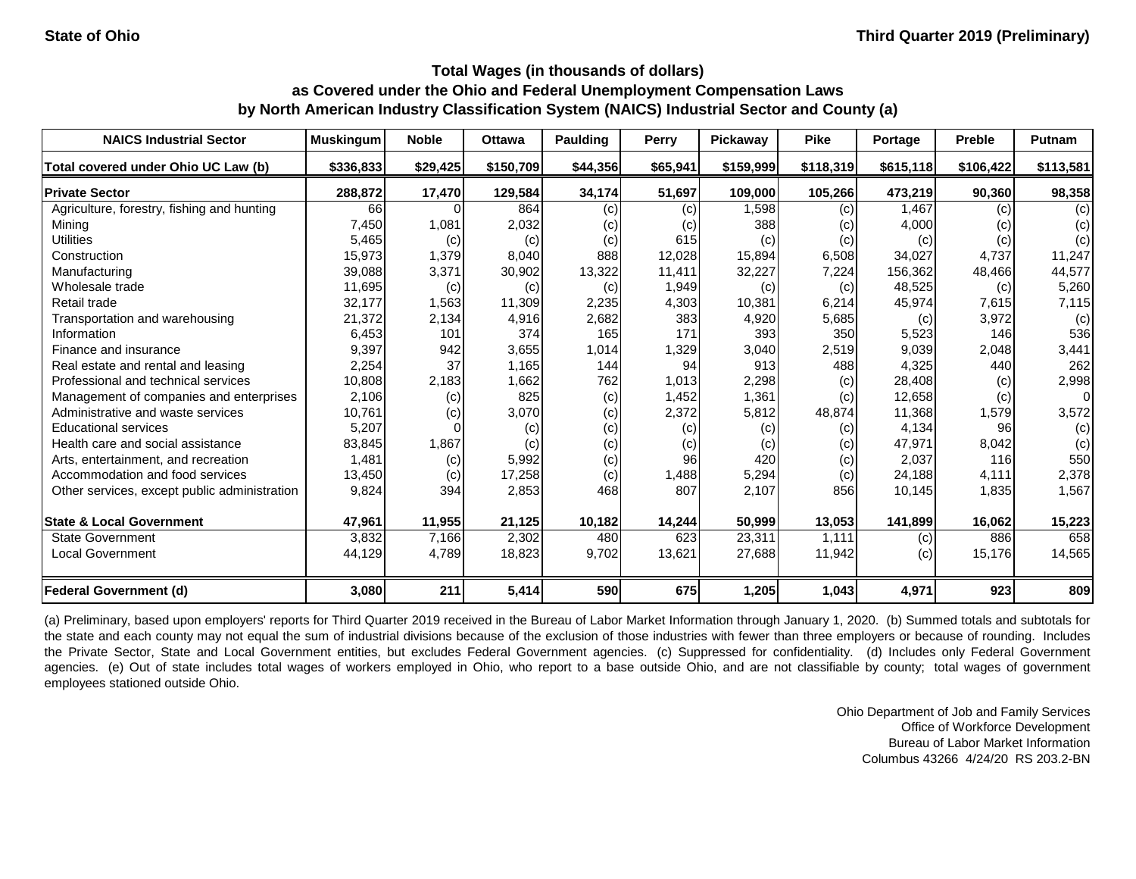| <b>NAICS Industrial Sector</b>               | <b>Muskingum</b> | <b>Noble</b> | <b>Ottawa</b> | <b>Paulding</b> | <b>Perry</b> | Pickaway  | <b>Pike</b> | Portage   | <b>Preble</b> | Putnam         |
|----------------------------------------------|------------------|--------------|---------------|-----------------|--------------|-----------|-------------|-----------|---------------|----------------|
| Total covered under Ohio UC Law (b)          | \$336,833        | \$29,425     | \$150,709     | \$44,356        | \$65,941     | \$159,999 | \$118,319   | \$615,118 | \$106,422     | \$113,581      |
| <b>Private Sector</b>                        | 288,872          | 17,470       | 129,584       | 34,174          | 51,697       | 109,000   | 105,266     | 473,219   | 90,360        | 98,358         |
| Agriculture, forestry, fishing and hunting   | 66               |              | 864           | (c)             | (c)          | 1,598     | (c)         | 1,467     | (c)           | (c)            |
| Mining                                       | 7,450            | 1,081        | 2,032         | (c)             | (c)          | 388       | (c)         | 4,000     | (c)           | (c)            |
| <b>Utilities</b>                             | 5,465            | (c)          | (c)           | (c)             | 615          | (c)       | (c)         | (c)       | (c)           | (c)            |
| Construction                                 | 15,973           | 1,379        | 8,040         | 888             | 12,028       | 15,894    | 6,508       | 34,027    | 4,737         | 11,247         |
| Manufacturing                                | 39,088           | 3,371        | 30,902        | 13,322          | 11,411       | 32,227    | 7,224       | 156,362   | 48,466        | 44,577         |
| Wholesale trade                              | 11,695           | (c)          | (c)           | (c)             | 1,949        | (c)       | (c)         | 48,525    | (c)           | 5,260          |
| Retail trade                                 | 32,177           | 1,563        | 11,309        | 2,235           | 4,303        | 10,381    | 6,214       | 45,974    | 7,615         | 7,115          |
| Transportation and warehousing               | 21,372           | 2,134        | 4,916         | 2,682           | 383          | 4,920     | 5,685       | (c)       | 3,972         | (c)            |
| Information                                  | 6,453            | 101          | 374           | 165             | 171          | 393       | 350         | 5,523     | 146           | 536            |
| Finance and insurance                        | 9,397            | 942          | 3,655         | 1,014           | 1,329        | 3,040     | 2,519       | 9,039     | 2,048         | 3,441          |
| Real estate and rental and leasing           | 2,254            | 37           | 1,165         | 144             | 94           | 913       | 488         | 4,325     | 440           | 262            |
| Professional and technical services          | 10,808           | 2,183        | 1,662         | 762             | 1,013        | 2,298     | (c)         | 28,408    | (c)           | 2,998          |
| Management of companies and enterprises      | 2,106            | (c)          | 825           | (c)             | 1,452        | 1,361     | (c)         | 12,658    | (c)           | $\overline{0}$ |
| Administrative and waste services            | 10,761           | (c)          | 3,070         | (c)             | 2,372        | 5,812     | 48,874      | 11,368    | 1,579         | 3,572          |
| <b>Educational services</b>                  | 5,207            |              | (c)           | (c)             | (c)          | (c)       | (c)         | 4,134     | 96            | (c)            |
| Health care and social assistance            | 83,845           | 1,867        | (c)           | (c)             | (c)          | (c)       | (c)         | 47,971    | 8,042         | (c)            |
| Arts, entertainment, and recreation          | 1,481            | (c)          | 5,992         | (c)             | 96           | 420       | (c)         | 2,037     | 116           | 550            |
| Accommodation and food services              | 13,450           | (c)          | 17,258        | (c)             | 1,488        | 5,294     | (c)         | 24,188    | 4,111         | 2,378          |
| Other services, except public administration | 9,824            | 394          | 2,853         | 468             | 807          | 2,107     | 856         | 10,145    | 1,835         | 1,567          |
| <b>State &amp; Local Government</b>          | 47,961           | 11,955       | 21,125        | 10,182          | 14,244       | 50,999    | 13,053      | 141,899   | 16,062        | 15,223         |
| <b>State Government</b>                      | 3,832            | 7,166        | 2,302         | 480             | 623          | 23,311    | 1,111       | (c)       | 886           | 658            |
| <b>Local Government</b>                      | 44,129           | 4,789        | 18,823        | 9,702           | 13,621       | 27,688    | 11,942      | (c)       | 15,176        | 14,565         |
| <b>Federal Government (d)</b>                | 3,080            | 211          | 5,414         | 590             | 675          | 1,205     | 1,043       | 4,971     | 923           | 809            |

(a) Preliminary, based upon employers' reports for Third Quarter 2019 received in the Bureau of Labor Market Information through January 1, 2020. (b) Summed totals and subtotals for the state and each county may not equal the sum of industrial divisions because of the exclusion of those industries with fewer than three employers or because of rounding. Includes the Private Sector, State and Local Government entities, but excludes Federal Government agencies. (c) Suppressed for confidentiality. (d) Includes only Federal Government agencies. (e) Out of state includes total wages of workers employed in Ohio, who report to a base outside Ohio, and are not classifiable by county; total wages of government employees stationed outside Ohio.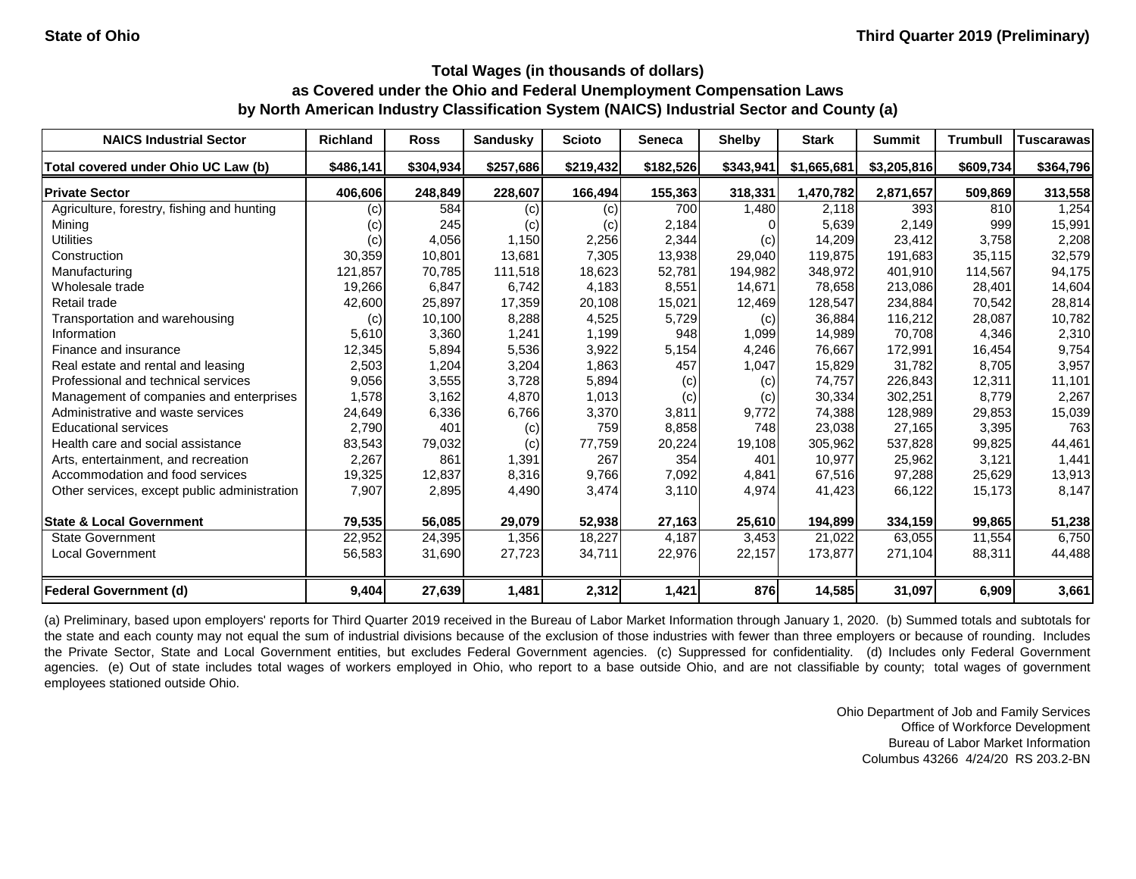| <b>NAICS Industrial Sector</b>               | <b>Richland</b> | <b>Ross</b> | <b>Sandusky</b> | <b>Scioto</b> | <b>Seneca</b> | <b>Shelby</b> | <b>Stark</b> | <b>Summit</b> | <b>Trumbull</b> | <b>Tuscarawas</b> |
|----------------------------------------------|-----------------|-------------|-----------------|---------------|---------------|---------------|--------------|---------------|-----------------|-------------------|
| Total covered under Ohio UC Law (b)          | \$486,141       | \$304,934   | \$257,686       | \$219,432     | \$182,526     | \$343,941     | \$1,665,681  | \$3,205,816   | \$609,734       | \$364,796         |
| <b>Private Sector</b>                        | 406,606         | 248,849     | 228,607         | 166,494       | 155,363       | 318,331       | 1,470,782    | 2,871,657     | 509,869         | 313,558           |
| Agriculture, forestry, fishing and hunting   | (c)             | 584         | (c)             | (c)           | 700           | 1,480         | 2,118        | 393           | 810             | 1,254             |
| Mining                                       | (c)             | 245         | (c)             | (c)           | 2,184         |               | 5,639        | 2,149         | 999             | 15,991            |
| <b>Utilities</b>                             | (c)             | 4,056       | 1,150           | 2,256         | 2,344         | (c)           | 14,209       | 23,412        | 3,758           | 2,208             |
| Construction                                 | 30,359          | 10,801      | 13,681          | 7,305         | 13,938        | 29,040        | 119,875      | 191,683       | 35,115          | 32,579            |
| Manufacturing                                | 121,857         | 70,785      | 111,518         | 18,623        | 52,781        | 194,982       | 348,972      | 401,910       | 114,567         | 94,175            |
| Wholesale trade                              | 19,266          | 6,847       | 6,742           | 4,183         | 8,551         | 14,671        | 78,658       | 213,086       | 28,401          | 14,604            |
| Retail trade                                 | 42,600          | 25,897      | 17,359          | 20,108        | 15,021        | 12,469        | 128,547      | 234,884       | 70,542          | 28,814            |
| Transportation and warehousing               | (c)             | 10,100      | 8,288           | 4,525         | 5,729         | (c)           | 36,884       | 116,212       | 28,087          | 10,782            |
| Information                                  | 5,610           | 3,360       | 1,241           | 1,199         | 948           | 1,099         | 14,989       | 70,708        | 4,346           | 2,310             |
| Finance and insurance                        | 12,345          | 5,894       | 5,536           | 3,922         | 5,154         | 4,246         | 76,667       | 172,991       | 16,454          | 9,754             |
| Real estate and rental and leasing           | 2,503           | 1,204       | 3,204           | 1,863         | 457           | 1,047         | 15,829       | 31,782        | 8,705           | 3,957             |
| Professional and technical services          | 9,056           | 3,555       | 3,728           | 5,894         | (c)           | (c)           | 74,757       | 226,843       | 12,311          | 11,101            |
| Management of companies and enterprises      | 1,578           | 3,162       | 4,870           | 1,013         | (c)           | (c)           | 30,334       | 302,251       | 8,779           | 2,267             |
| Administrative and waste services            | 24,649          | 6,336       | 6,766           | 3,370         | 3,811         | 9,772         | 74,388       | 128,989       | 29,853          | 15,039            |
| <b>Educational services</b>                  | 2,790           | 401         | (c)             | 759           | 8,858         | 748           | 23,038       | 27,165        | 3,395           | 763               |
| Health care and social assistance            | 83,543          | 79,032      | (c)             | 77,759        | 20,224        | 19,108        | 305,962      | 537,828       | 99,825          | 44,461            |
| Arts, entertainment, and recreation          | 2,267           | 861         | 1,391           | 267           | 354           | 401           | 10,977       | 25,962        | 3,121           | 1,441             |
| Accommodation and food services              | 19,325          | 12,837      | 8,316           | 9,766         | 7,092         | 4,841         | 67,516       | 97,288        | 25,629          | 13,913            |
| Other services, except public administration | 7,907           | 2,895       | 4,490           | 3,474         | 3,110         | 4,974         | 41,423       | 66,122        | 15,173          | 8,147             |
| <b>State &amp; Local Government</b>          | 79,535          | 56,085      | 29,079          | 52,938        | 27,163        | 25,610        | 194,899      | 334,159       | 99,865          | 51,238            |
| <b>State Government</b>                      | 22,952          | 24,395      | 1,356           | 18,227        | 4,187         | 3,453         | 21,022       | 63,055        | 11,554          | 6,750             |
| <b>Local Government</b>                      | 56,583          | 31,690      | 27,723          | 34,711        | 22,976        | 22,157        | 173,877      | 271,104       | 88,311          | 44,488            |
| <b>Federal Government (d)</b>                | 9,404           | 27,639      | 1,481           | 2,312         | 1,421         | 876           | 14,585       | 31,097        | 6,909           | 3,661             |

(a) Preliminary, based upon employers' reports for Third Quarter 2019 received in the Bureau of Labor Market Information through January 1, 2020. (b) Summed totals and subtotals for the state and each county may not equal the sum of industrial divisions because of the exclusion of those industries with fewer than three employers or because of rounding. Includes the Private Sector, State and Local Government entities, but excludes Federal Government agencies. (c) Suppressed for confidentiality. (d) Includes only Federal Government agencies. (e) Out of state includes total wages of workers employed in Ohio, who report to a base outside Ohio, and are not classifiable by county; total wages of government employees stationed outside Ohio.